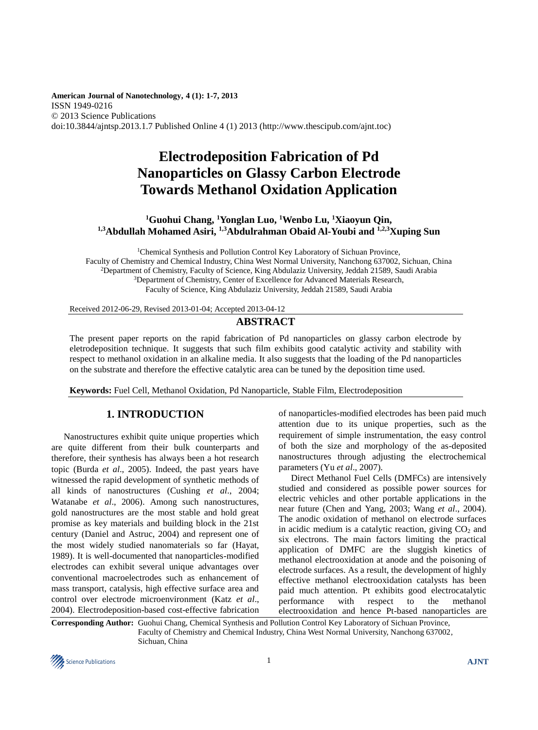**American Journal of Nanotechnology, 4 (1): 1-7, 2013** ISSN 1949-0216 © 2013 Science Publications doi:10.3844/ajntsp.2013.1.7 Published Online 4 (1) 2013 (http://www.thescipub.com/ajnt.toc)

# **Electrodeposition Fabrication of Pd Nanoparticles on Glassy Carbon Electrode Towards Methanol Oxidation Application**

## **<sup>1</sup>Guohui Chang, <sup>1</sup>Yonglan Luo, <sup>1</sup>Wenbo Lu, <sup>1</sup>Xiaoyun Qin, 1,3Abdullah Mohamed Asiri, 1,3Abdulrahman Obaid Al-Youbi and 1,2,3Xuping Sun**

<sup>1</sup>Chemical Synthesis and Pollution Control Key Laboratory of Sichuan Province, Faculty of Chemistry and Chemical Industry, China West Normal University, Nanchong 637002, Sichuan, China <sup>2</sup>Department of Chemistry, Faculty of Science, King Abdulaziz University, Jeddah 21589, Saudi Arabia <sup>3</sup>Department of Chemistry, Center of Excellence for Advanced Materials Research, Faculty of Science, King Abdulaziz University, Jeddah 21589, Saudi Arabia

Received 2012-06-29, Revised 2013-01-04; Accepted 2013-04-12

## **ABSTRACT**

The present paper reports on the rapid fabrication of Pd nanoparticles on glassy carbon electrode by eletrodeposition technique. It suggests that such film exhibits good catalytic activity and stability with respect to methanol oxidation in an alkaline media. It also suggests that the loading of the Pd nanoparticles on the substrate and therefore the effective catalytic area can be tuned by the deposition time used.

**Keywords:** Fuel Cell, Methanol Oxidation, Pd Nanoparticle, Stable Film, Electrodeposition

## **1. INTRODUCTION**

Nanostructures exhibit quite unique properties which are quite different from their bulk counterparts and therefore, their synthesis has always been a hot research topic (Burda *et al*., 2005). Indeed, the past years have witnessed the rapid development of synthetic methods of all kinds of nanostructures (Cushing *et al*., 2004; Watanabe *et al*., 2006). Among such nanostructures, gold nanostructures are the most stable and hold great promise as key materials and building block in the 21st century (Daniel and Astruc, 2004) and represent one of the most widely studied nanomaterials so far (Hayat, 1989). It is well-documented that nanoparticles-modified electrodes can exhibit several unique advantages over conventional macroelectrodes such as enhancement of mass transport, catalysis, high effective surface area and control over electrode microenvironment (Katz *et al*., 2004). Electrodeposition-based cost-effective fabrication of nanoparticles-modified electrodes has been paid much attention due to its unique properties, such as the requirement of simple instrumentation, the easy control of both the size and morphology of the as-deposited nanostructures through adjusting the electrochemical parameters (Yu *et al*., 2007).

Direct Methanol Fuel Cells (DMFCs) are intensively studied and considered as possible power sources for electric vehicles and other portable applications in the near future (Chen and Yang, 2003; Wang *et al*., 2004). The anodic oxidation of methanol on electrode surfaces in acidic medium is a catalytic reaction, giving  $CO<sub>2</sub>$  and six electrons. The main factors limiting the practical application of DMFC are the sluggish kinetics of methanol electrooxidation at anode and the poisoning of electrode surfaces. As a result, the development of highly effective methanol electrooxidation catalysts has been paid much attention. Pt exhibits good electrocatalytic performance with respect to the methanol electrooxidation and hence Pt-based nanoparticles are

**Corresponding Author:** Guohui Chang, Chemical Synthesis and Pollution Control Key Laboratory of Sichuan Province, Faculty of Chemistry and Chemical Industry, China West Normal University, Nanchong 637002, Sichuan, China

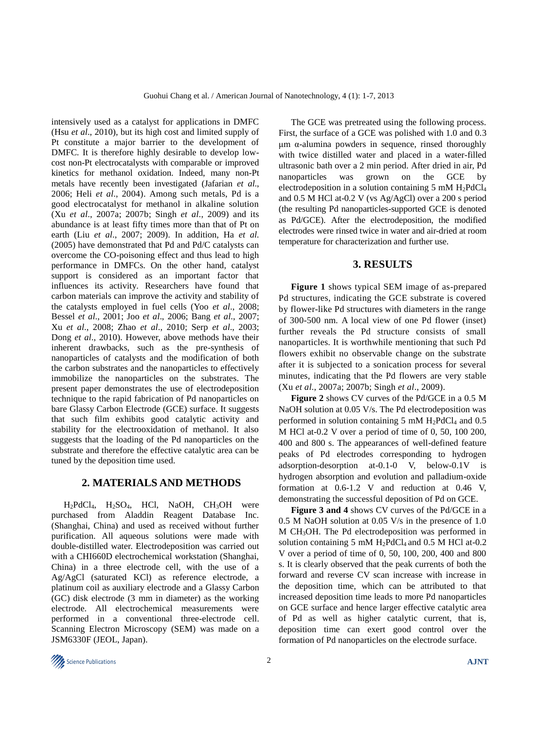intensively used as a catalyst for applications in DMFC (Hsu *et al*., 2010), but its high cost and limited supply of Pt constitute a major barrier to the development of DMFC. It is therefore highly desirable to develop lowcost non-Pt electrocatalysts with comparable or improved kinetics for methanol oxidation. Indeed, many non-Pt metals have recently been investigated (Jafarian *et al*., 2006; Heli *et al*., 2004). Among such metals, Pd is a good electrocatalyst for methanol in alkaline solution (Xu *et al*., 2007a; 2007b; Singh *et al*., 2009) and its abundance is at least fifty times more than that of Pt on earth (Liu *et al*., 2007; 2009). In addition, Ha *et al.* (2005) have demonstrated that Pd and Pd/C catalysts can overcome the CO-poisoning effect and thus lead to high performance in DMFCs. On the other hand, catalyst support is considered as an important factor that influences its activity. Researchers have found that carbon materials can improve the activity and stability of the catalysts employed in fuel cells (Yoo *et al*., 2008; Bessel *et al*., 2001; Joo *et al*., 2006; Bang *et al*., 2007; Xu *et al*., 2008; Zhao *et al*., 2010; Serp *et al*., 2003; Dong *et al*., 2010). However, above methods have their inherent drawbacks, such as the pre-synthesis of nanoparticles of catalysts and the modification of both the carbon substrates and the nanoparticles to effectively immobilize the nanoparticles on the substrates. The present paper demonstrates the use of electrodeposition technique to the rapid fabrication of Pd nanoparticles on bare Glassy Carbon Electrode (GCE) surface. It suggests that such film exhibits good catalytic activity and stability for the electrooxidation of methanol. It also suggests that the loading of the Pd nanoparticles on the substrate and therefore the effective catalytic area can be tuned by the deposition time used.

## **2. MATERIALS AND METHODS**

H<sub>2</sub>PdCl<sub>4</sub>, H<sub>2</sub>SO<sub>4</sub>, HCl, NaOH, CH<sub>3</sub>OH were purchased from Aladdin Reagent Database Inc. (Shanghai, China) and used as received without further purification. All aqueous solutions were made with double-distilled water. Electrodeposition was carried out with a CHI660D electrochemical workstation (Shanghai, China) in a three electrode cell, with the use of a Ag/AgCl (saturated KCl) as reference electrode, a platinum coil as auxiliary electrode and a Glassy Carbon (GC) disk electrode (3 mm in diameter) as the working electrode. All electrochemical measurements were performed in a conventional three-electrode cell. Scanning Electron Microscopy (SEM) was made on a JSM6330F (JEOL, Japan).

The GCE was pretreated using the following process. First, the surface of a GCE was polished with 1.0 and 0.3 μm α-alumina powders in sequence, rinsed thoroughly with twice distilled water and placed in a water-filled ultrasonic bath over a 2 min period. After dried in air, Pd nanoparticles was grown on the GCE by electrodeposition in a solution containing  $5 \text{ mM H}_2$ PdCl<sub>4</sub> and 0.5 M HCl at-0.2 V (vs Ag/AgCl) over a 200 s period (the resulting Pd nanoparticles-supported GCE is denoted as Pd/GCE). After the electrodeposition, the modified electrodes were rinsed twice in water and air-dried at room temperature for characterization and further use.

### **3. RESULTS**

**Figure 1** shows typical SEM image of as-prepared Pd structures, indicating the GCE substrate is covered by flower-like Pd structures with diameters in the range of 300-500 nm. A local view of one Pd flower (inset) further reveals the Pd structure consists of small nanoparticles. It is worthwhile mentioning that such Pd flowers exhibit no observable change on the substrate after it is subjected to a sonication process for several minutes, indicating that the Pd flowers are very stable (Xu *et al*., 2007a; 2007b; Singh *et al*., 2009).

**Figure 2** shows CV curves of the Pd/GCE in a 0.5 M NaOH solution at 0.05 V/s. The Pd electrodeposition was performed in solution containing  $5 \text{ mM } H_2$ PdCl<sub>4</sub> and  $0.5 \text{ m}$ M HCl at-0.2 V over a period of time of 0, 50, 100 200, 400 and 800 s. The appearances of well-defined feature peaks of Pd electrodes corresponding to hydrogen adsorption-desorption at-0.1-0 V, below-0.1V is hydrogen absorption and evolution and palladium-oxide formation at 0.6-1.2 V and reduction at 0.46 V, demonstrating the successful deposition of Pd on GCE.

**Figure 3 and 4** shows CV curves of the Pd/GCE in a 0.5 M NaOH solution at 0.05 V/s in the presence of 1.0 M CH3OH. The Pd electrodeposition was performed in solution containing 5 mM  $H_2PdCl_4$  and 0.5 M HCl at-0.2 V over a period of time of 0, 50, 100, 200, 400 and 800 s. It is clearly observed that the peak currents of both the forward and reverse CV scan increase with increase in the deposition time, which can be attributed to that increased deposition time leads to more Pd nanoparticles on GCE surface and hence larger effective catalytic area of Pd as well as higher catalytic current, that is, deposition time can exert good control over the formation of Pd nanoparticles on the electrode surface.

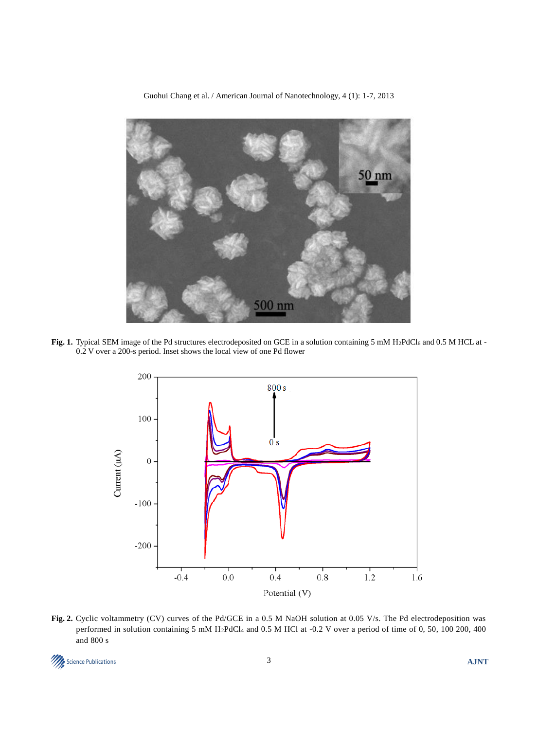

Guohui Chang et al. / American Journal of Nanotechnology, 4 (1): 1-7, 2013

Fig. 1. Typical SEM image of the Pd structures electrodeposited on GCE in a solution containing 5 mM H<sub>2</sub>PdCl<sub>6</sub> and 0.5 M HCL at -0.2 V over a 200-s period. Inset shows the local view of one Pd flower



**Fig. 2.** Cyclic voltammetry (CV) curves of the Pd/GCE in a 0.5 M NaOH solution at 0.05 V/s. The Pd electrodeposition was performed in solution containing 5 mM H2PdCl<sup>4</sup> and 0.5 M HCl at -0.2 V over a period of time of 0, 50, 100 200, 400 and 800 s

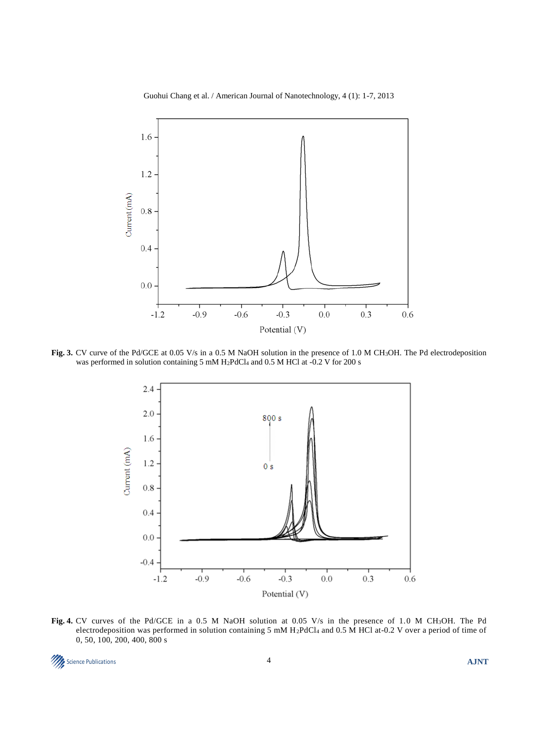#### Guohui Chang et al. / American Journal of Nanotechnology, 4 (1): 1-7, 2013



**Fig. 3.** CV curve of the Pd/GCE at 0.05 V/s in a 0.5 M NaOH solution in the presence of 1.0 M CH3OH. The Pd electrodeposition was performed in solution containing 5 mM H2PdCl<sup>4</sup> and 0.5 M HCl at -0.2 V for 200 s



**Fig. 4.** CV curves of the Pd/GCE in a 0.5 M NaOH solution at 0.05 V/s in the presence of 1.0 M CH3OH. The Pd electrodeposition was performed in solution containing 5 mM H2PdCl<sup>4</sup> and 0.5 M HCl at-0.2 V over a period of time of 0, 50, 100, 200, 400, 800 s

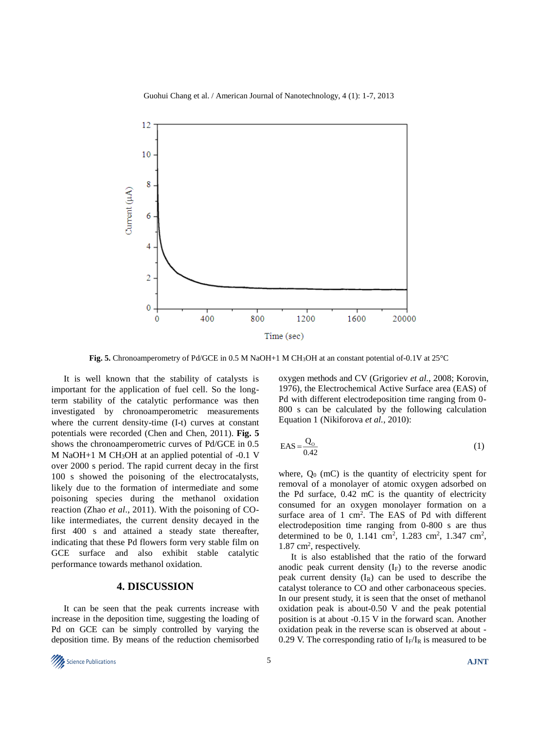#### Guohui Chang et al. / American Journal of Nanotechnology, 4 (1): 1-7, 2013



**Fig. 5.** Chronoamperometry of Pd/GCE in 0.5 M NaOH+1 M CH3OH at an constant potential of-0.1V at 25°C

It is well known that the stability of catalysts is important for the application of fuel cell. So the longterm stability of the catalytic performance was then investigated by chronoamperometric measurements where the current density-time (I-t) curves at constant potentials were recorded (Chen and Chen, 2011). **Fig. 5** shows the chronoamperometric curves of Pd/GCE in 0.5 M NaOH $+1$  M CH<sub>3</sub>OH at an applied potential of  $-0.1$  V over 2000 s period. The rapid current decay in the first 100 s showed the poisoning of the electrocatalysts, likely due to the formation of intermediate and some poisoning species during the methanol oxidation reaction (Zhao *et al*., 2011). With the poisoning of COlike intermediates, the current density decayed in the first 400 s and attained a steady state thereafter, indicating that these Pd flowers form very stable film on GCE surface and also exhibit stable catalytic performance towards methanol oxidation.

## **4. DISCUSSION**

It can be seen that the peak currents increase with increase in the deposition time, suggesting the loading of Pd on GCE can be simply controlled by varying the deposition time. By means of the reduction chemisorbed

oxygen methods and CV (Grigoriev *et al.*, 2008; Korovin, 1976), the Electrochemical Active Surface area (EAS) of Pd with different electrodeposition time ranging from 0- 800 s can be calculated by the following calculation Equation 1 (Nikiforova *et al.*, 2010):

$$
EAS = \frac{Q_0}{0.42} \tag{1}
$$

where,  $Q_0$  (mC) is the quantity of electricity spent for removal of a monolayer of atomic oxygen adsorbed on the Pd surface, 0.42 mC is the quantity of electricity consumed for an oxygen monolayer formation on a surface area of  $1 \text{ cm}^2$ . The EAS of Pd with different electrodeposition time ranging from 0-800 s are thus determined to be 0, 1.141 cm<sup>2</sup>, 1.283 cm<sup>2</sup>, 1.347 cm<sup>2</sup>, 1.87 cm<sup>2</sup>, respectively.

It is also established that the ratio of the forward anodic peak current density  $(I_F)$  to the reverse anodic peak current density  $(I_R)$  can be used to describe the catalyst tolerance to CO and other carbonaceous species. In our present study, it is seen that the onset of methanol oxidation peak is about-0.50 V and the peak potential position is at about -0.15 V in the forward scan. Another oxidation peak in the reverse scan is observed at about - 0.29 V. The corresponding ratio of  $I_F/I_R$  is measured to be

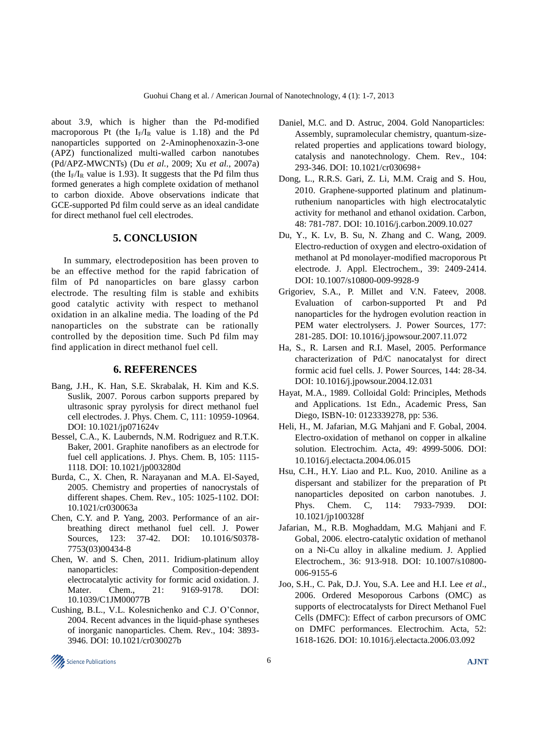about 3.9, which is higher than the Pd-modified macroporous Pt (the  $I_F/I_R$  value is 1.18) and the Pd nanoparticles supported on 2-Aminophenoxazin-3-one (APZ) functionalized multi-walled carbon nanotubes (Pd/APZ-MWCNTs) (Du *et al.*, 2009; Xu *et al.*, 2007a) (the  $I_F/I_R$  value is 1.93). It suggests that the Pd film thus formed generates a high complete oxidation of methanol to carbon dioxide. Above observations indicate that GCE-supported Pd film could serve as an ideal candidate for direct methanol fuel cell electrodes.

## **5. CONCLUSION**

In summary, electrodeposition has been proven to be an effective method for the rapid fabrication of film of Pd nanoparticles on bare glassy carbon electrode. The resulting film is stable and exhibits good catalytic activity with respect to methanol oxidation in an alkaline media. The loading of the Pd nanoparticles on the substrate can be rationally controlled by the deposition time. Such Pd film may find application in direct methanol fuel cell.

#### **6. REFERENCES**

- Bang, J.H., K. Han, S.E. Skrabalak, H. Kim and K.S. Suslik, 2007. Porous carbon supports prepared by ultrasonic spray pyrolysis for direct methanol fuel cell electrodes. J. Phys. Chem. C, 111: 10959-10964. DOI: 10.1021/jp071624v
- Bessel, C.A., K. Laubernds, N.M. Rodriguez and R.T.K. Baker, 2001. Graphite nanofibers as an electrode for fuel cell applications. J. Phys. Chem. B, 105: 1115- 1118. DOI: 10.1021/jp003280d
- Burda, C., X. Chen, R. Narayanan and M.A. El-Sayed, 2005. Chemistry and properties of nanocrystals of different shapes. Chem. Rev., 105: 1025-1102. DOI: 10.1021/cr030063a
- Chen, C.Y. and P. Yang, 2003. Performance of an airbreathing direct methanol fuel cell. J. Power Sources, 123: 37-42. DOI: 10.1016/S0378- 7753(03)00434-8
- Chen, W. and S. Chen, 2011. Iridium-platinum alloy nanoparticles: Composition-dependent electrocatalytic activity for formic acid oxidation. J. Mater. Chem., 21: 9169-9178. DOI: 10.1039/C1JM00077B
- Cushing, B.L., V.L. Kolesnichenko and C.J. O'Connor, 2004. Recent advances in the liquid-phase syntheses of inorganic nanoparticles. Chem. Rev., 104: 3893- 3946. DOI: 10.1021/cr030027b
- Daniel, M.C. and D. Astruc, 2004. Gold Nanoparticles: Assembly, supramolecular chemistry, quantum-sizerelated properties and applications toward biology, catalysis and nanotechnology. Chem. Rev., 104: 293-346. DOI: 10.1021/cr030698+
- Dong, L., R.R.S. Gari, Z. Li, M.M. Craig and S. Hou, 2010. Graphene-supported platinum and platinumruthenium nanoparticles with high electrocatalytic activity for methanol and ethanol oxidation. Carbon, 48: 781-787. DOI: 10.1016/j.carbon.2009.10.027
- Du, Y., K. Lv, B. Su, N. Zhang and C. Wang, 2009. Electro-reduction of oxygen and electro-oxidation of methanol at Pd monolayer-modified macroporous Pt electrode. J. Appl. Electrochem., 39: 2409-2414. DOI: 10.1007/s10800-009-9928-9
- Grigoriev, S.A., P. Millet and V.N. Fateev, 2008. Evaluation of carbon-supported Pt and Pd nanoparticles for the hydrogen evolution reaction in PEM water electrolysers. J. Power Sources, 177: 281-285. DOI: 10.1016/j.jpowsour.2007.11.072
- Ha, S., R. Larsen and R.I. Masel, 2005. Performance characterization of Pd/C nanocatalyst for direct formic acid fuel cells. J. Power Sources, 144: 28-34. DOI: 10.1016/j.jpowsour.2004.12.031
- Hayat, M.A., 1989. Colloidal Gold: Principles, Methods and Applications. 1st Edn., Academic Press, San Diego, ISBN-10: 0123339278, pp: 536.
- Heli, H., M. Jafarian, M.G. Mahjani and F. Gobal, 2004. Electro-oxidation of methanol on copper in alkaline solution. Electrochim. Acta, 49: 4999-5006. DOI: 10.1016/j.electacta.2004.06.015
- Hsu, C.H., H.Y. Liao and P.L. Kuo, 2010. Aniline as a dispersant and stabilizer for the preparation of Pt nanoparticles deposited on carbon nanotubes. J. Phys. Chem. C, 114: 7933-7939. DOI: 10.1021/jp100328f
- Jafarian, M., R.B. Moghaddam, M.G. Mahjani and F. Gobal, 2006. electro-catalytic oxidation of methanol on a Ni-Cu alloy in alkaline medium. J. Applied Electrochem., 36: 913-918. DOI: 10.1007/s10800- 006-9155-6
- Joo, S.H., C. Pak, D.J. You, S.A. Lee and H.I. Lee *et al*., 2006. Ordered Mesoporous Carbons (OMC) as supports of electrocatalysts for Direct Methanol Fuel Cells (DMFC): Effect of carbon precursors of OMC on DMFC performances. Electrochim. Acta, 52: 1618-1626. DOI: 10.1016/j.electacta.2006.03.092